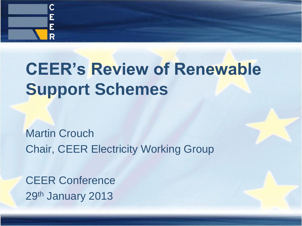

# **CEER's Review of Renewable Support Schemes**

Martin Crouch Chair, CEER Electricity Working Group

CEER Conference 29th January 2013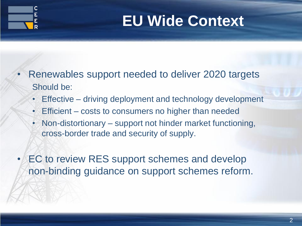

## **EU Wide Context**

- Renewables support needed to deliver 2020 targets Should be:
	- Effective driving deployment and technology development
	- Efficient costs to consumers no higher than needed
	- Non-distortionary support not hinder market functioning, cross-border trade and security of supply.
- EC to review RES support schemes and develop non-binding guidance on support schemes reform.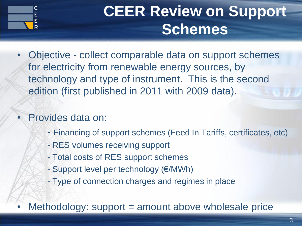

## **CEER Review on Support Schemes**

• Objective - collect comparable data on support schemes for electricity from renewable energy sources, by technology and type of instrument. This is the second edition (first published in 2011 with 2009 data).

#### • Provides data on:

- Financing of support schemes (Feed In Tariffs, certificates, etc)
- RES volumes receiving support
- Total costs of RES support schemes
- Support level per technology (€/MWh)
- Type of connection charges and regimes in place
- Methodology: support = amount above wholesale price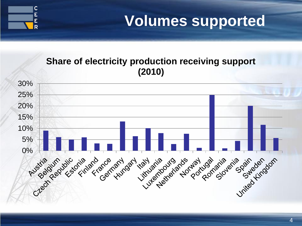

#### **Volumes supported**

#### **Share of electricity production receiving support (2010)**

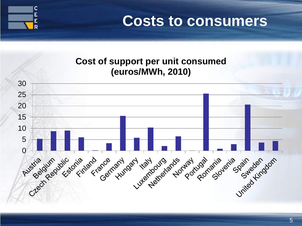

**Costs to consumers**

#### **Cost of support per unit consumed (euros/MWh, 2010)**

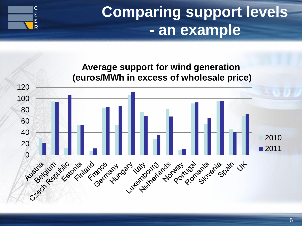

### **Comparing support levels - an example**

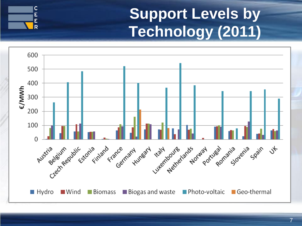### **Support Levels by Technology (2011)**



C<br>E<br>E

 $\overline{\mathsf{R}}$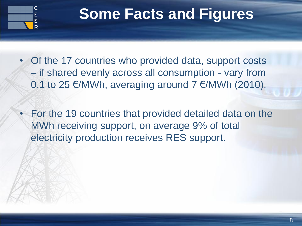

#### **Some Facts and Figures**

- Of the 17 countries who provided data, support costs – if shared evenly across all consumption - vary from 0.1 to 25 €/MWh, averaging around  $7 \in$ /MWh (2010).
- For the 19 countries that provided detailed data on the MWh receiving support, on average 9% of total electricity production receives RES support.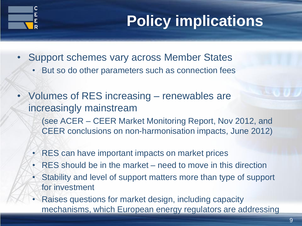## **Policy implications**

- Support schemes vary across Member States
	- But so do other parameters such as connection fees
- Volumes of RES increasing renewables are increasingly mainstream (see ACER – CEER Market Monitoring Report, Nov 2012, and CEER conclusions on non-harmonisation impacts, June 2012)
	- RES can have important impacts on market prices
	- RES should be in the market need to move in this direction
	- Stability and level of support matters more than type of support for investment
	- Raises questions for market design, including capacity mechanisms, which European energy regulators are addressing